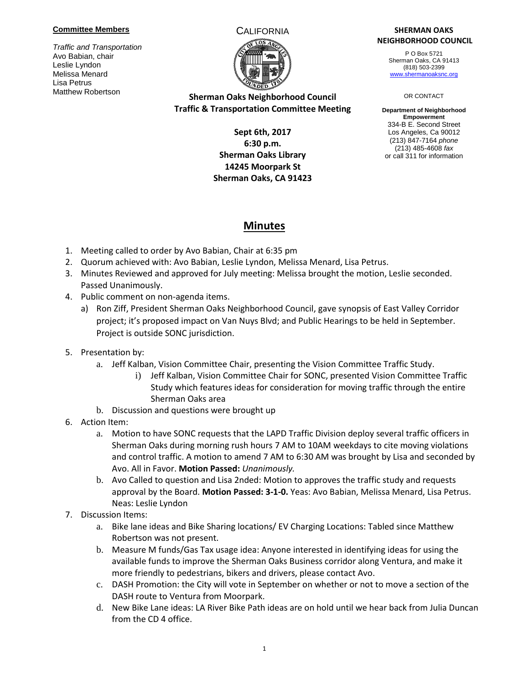#### **Committee Members**

*Traffic and Transportation* Avo Babian, chair Leslie Lyndon Melissa Menard Lisa Petrus Matthew Robertson



# **Sherman Oaks Neighborhood Council Traffic & Transportation Committee Meeting**

## **Sept 6th, 2017 6:30 p.m. Sherman Oaks Library 14245 Moorpark St Sherman Oaks, CA 91423**

#### CALIFORNIA **SHERMAN OAKS NEIGHBORHOOD COUNCIL**

P O Box 5721 Sherman Oaks, CA 91413 (818) 503-2399 [www.shermanoaksnc.org](http://www.shermanoaksnc.org/)

#### OR CONTACT

**Department of Neighborhood Empowerment** 334-B E. Second Street Los Angeles, Ca 90012 (213) 847-7164 *phone* (213) 485-4608 *fax* or call 311 for information

# **Minutes**

- 1. Meeting called to order by Avo Babian, Chair at 6:35 pm
- 2. Quorum achieved with: Avo Babian, Leslie Lyndon, Melissa Menard, Lisa Petrus.
- 3. Minutes Reviewed and approved for July meeting: Melissa brought the motion, Leslie seconded. Passed Unanimously.
- 4. Public comment on non-agenda items.
	- a) Ron Ziff, President Sherman Oaks Neighborhood Council, gave synopsis of East Valley Corridor project; it's proposed impact on Van Nuys Blvd; and Public Hearings to be held in September. Project is outside SONC jurisdiction.
- 5. Presentation by:
	- a. Jeff Kalban, Vision Committee Chair, presenting the Vision Committee Traffic Study.
		- i) Jeff Kalban, Vision Committee Chair for SONC, presented Vision Committee Traffic Study which features ideas for consideration for moving traffic through the entire Sherman Oaks area
	- b. Discussion and questions were brought up
- 6. Action Item:
	- a. Motion to have SONC requests that the LAPD Traffic Division deploy several traffic officers in Sherman Oaks during morning rush hours 7 AM to 10AM weekdays to cite moving violations and control traffic. A motion to amend 7 AM to 6:30 AM was brought by Lisa and seconded by Avo. All in Favor. **Motion Passed:** *Unanimously.*
	- b. Avo Called to question and Lisa 2nded: Motion to approves the traffic study and requests approval by the Board. **Motion Passed: 3-1-0.** Yeas: Avo Babian, Melissa Menard, Lisa Petrus. Neas: Leslie Lyndon
- 7. Discussion Items:
	- a. Bike lane ideas and Bike Sharing locations/ EV Charging Locations: Tabled since Matthew Robertson was not present.
	- b. Measure M funds/Gas Tax usage idea: Anyone interested in identifying ideas for using the available funds to improve the Sherman Oaks Business corridor along Ventura, and make it more friendly to pedestrians, bikers and drivers, please contact Avo.
	- c. DASH Promotion: the City will vote in September on whether or not to move a section of the DASH route to Ventura from Moorpark.
	- d. New Bike Lane ideas: LA River Bike Path ideas are on hold until we hear back from Julia Duncan from the CD 4 office.